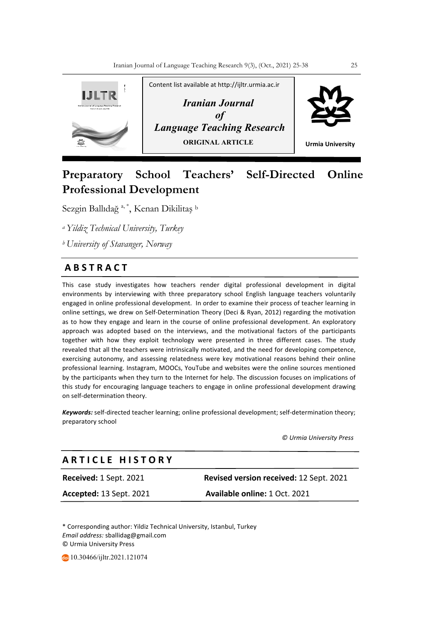

# **Preparatory School Teachers' Self-Directed Online Professional Development**

Sezgin Ballıdağ <sup>a, \*</sup>, Kenan Dikilitaş b

*a Yildiz Technical University, Turkey*

*b University of Stavanger, Norway* 

## **A B S T R A C T**

This case study investigates how teachers render digital professional development in digital environments by interviewing with three preparatory school English language teachers voluntarily engaged in online professional development. In order to examine their process of teacher learning in online settings, we drew on Self-Determination Theory (Deci & Ryan, 2012) regarding the motivation as to how they engage and learn in the course of online professional development. An exploratory approach was adopted based on the interviews, and the motivational factors of the participants together with how they exploit technology were presented in three different cases. The study revealed that all the teachers were intrinsically motivated, and the need for developing competence, exercising autonomy, and assessing relatedness were key motivational reasons behind their online professional learning. Instagram, MOOCs, YouTube and websites were the online sources mentioned by the participants when they turn to the Internet for help. The discussion focuses on implications of this study for encouraging language teachers to engage in online professional development drawing on self-determination theory.

*Keywords:* self-directed teacher learning; online professional development; self-determination theory; preparatory school

 *© Urmia University Press*

## **A R T I C L E H I S T O R Y**

**Received:** 1 Sept. 2021 **Revised version received:** 12 Sept. 2021 **Accepted:** 13 Sept. 2021 **Available online:** 1 Oct. 2021

\* Corresponding author: Yildiz Technical University, Istanbul, Turkey *Email address:* sballidag@gmail.com © Urmia University Press

10.30466/ijltr.2021.121074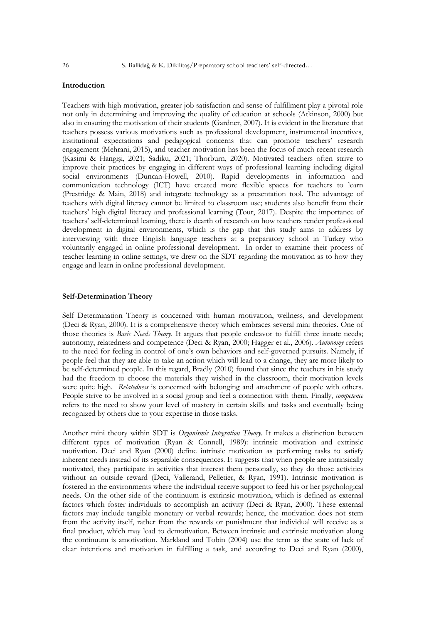#### **Introduction**

Teachers with high motivation, greater job satisfaction and sense of fulfillment play a pivotal role not only in determining and improving the quality of education at schools (Atkinson, 2000) but also in ensuring the motivation of their students (Gardner, 2007). It is evident in the literature that teachers possess various motivations such as professional development, instrumental incentives, institutional expectations and pedagogical concerns that can promote teachers' research engagement (Mehrani, 2015), and teacher motivation has been the focus of much recent research (Kasimi & Hangişi, 2021; Sadiku, 2021; Thorburn, 2020). Motivated teachers often strive to improve their practices by engaging in different ways of professional learning including digital social environments (Duncan-Howell, 2010). Rapid developments in information and communication technology (ICT) have created more flexible spaces for teachers to learn (Prestridge & Main, 2018) and integrate technology as a presentation tool. The advantage of teachers with digital literacy cannot be limited to classroom use; students also benefit from their teachers' high digital literacy and professional learning (Tour, 2017). Despite the importance of teachers' self-determined learning, there is dearth of research on how teachers render professional development in digital environments, which is the gap that this study aims to address by interviewing with three English language teachers at a preparatory school in Turkey who voluntarily engaged in online professional development. In order to examine their process of teacher learning in online settings, we drew on the SDT regarding the motivation as to how they engage and learn in online professional development.

#### **Self-Determination Theory**

Self Determination Theory is concerned with human motivation, wellness, and development (Deci & Ryan, 2000). It is a comprehensive theory which embraces several mini theories. One of those theories is *Basic Needs Theory*. It argues that people endeavor to fulfill three innate needs; autonomy, relatedness and competence (Deci & Ryan, 2000; Hagger et al., 2006). *Autonomy* refers to the need for feeling in control of one's own behaviors and self-governed pursuits. Namely, if people feel that they are able to take an action which will lead to a change, they are more likely to be self-determined people. In this regard, Bradly (2010) found that since the teachers in his study had the freedom to choose the materials they wished in the classroom, their motivation levels were quite high. *Relatedness* is concerned with belonging and attachment of people with others. People strive to be involved in a social group and feel a connection with them. Finally, *competence* refers to the need to show your level of mastery in certain skills and tasks and eventually being recognized by others due to your expertise in those tasks.

Another mini theory within SDT is *Organismic Integration Theory*. It makes a distinction between different types of motivation (Ryan & Connell, 1989): intrinsic motivation and extrinsic motivation. Deci and Ryan (2000) define intrinsic motivation as performing tasks to satisfy inherent needs instead of its separable consequences. It suggests that when people are intrinsically motivated, they participate in activities that interest them personally, so they do those activities without an outside reward (Deci, Vallerand, Pelletier, & Ryan, 1991). Intrinsic motivation is fostered in the environments where the individual receive support to feed his or her psychological needs. On the other side of the continuum is extrinsic motivation, which is defined as external factors which foster individuals to accomplish an activity (Deci & Ryan, 2000). These external factors may include tangible monetary or verbal rewards; hence, the motivation does not stem from the activity itself, rather from the rewards or punishment that individual will receive as a final product, which may lead to demotivation. Between intrinsic and extrinsic motivation along the continuum is amotivation. Markland and Tobin (2004) use the term as the state of lack of clear intentions and motivation in fulfilling a task, and according to Deci and Ryan (2000),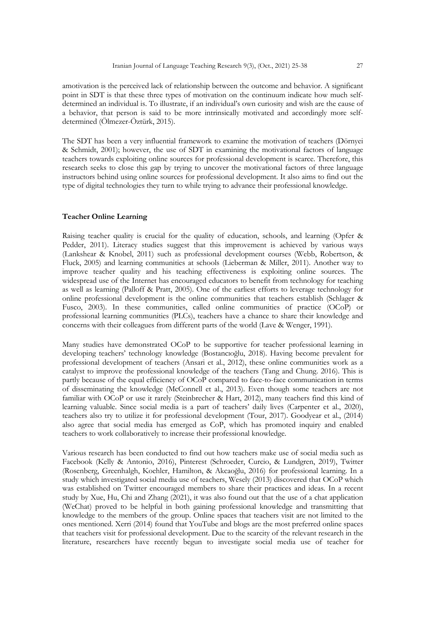amotivation is the perceived lack of relationship between the outcome and behavior. A significant point in SDT is that these three types of motivation on the continuum indicate how much selfdetermined an individual is. To illustrate, if an individual's own curiosity and wish are the cause of a behavior, that person is said to be more intrinsically motivated and accordingly more selfdetermined (Ölmezer-Öztürk, 2015).

The SDT has been a very influential framework to examine the motivation of teachers (Dörnyei & Schmidt, 2001); however, the use of SDT in examining the motivational factors of language teachers towards exploiting online sources for professional development is scarce. Therefore, this research seeks to close this gap by trying to uncover the motivational factors of three language instructors behind using online sources for professional development. It also aims to find out the type of digital technologies they turn to while trying to advance their professional knowledge.

#### **Teacher Online Learning**

Raising teacher quality is crucial for the quality of education, schools, and learning (Opfer & Pedder, 2011). Literacy studies suggest that this improvement is achieved by various ways (Lankshear & Knobel, 2011) such as professional development courses (Webb, Robertson, & Fluck, 2005) and learning communities at schools (Lieberman & Miller, 2011). Another way to improve teacher quality and his teaching effectiveness is exploiting online sources. The widespread use of the Internet has encouraged educators to benefit from technology for teaching as well as learning (Palloff & Pratt, 2005). One of the earliest efforts to leverage technology for online professional development is the online communities that teachers establish (Schlager & Fusco, 2003). In these communities, called online communities of practice (OCoP) or professional learning communities (PLCs), teachers have a chance to share their knowledge and concerns with their colleagues from different parts of the world (Lave & Wenger, 1991).

Many studies have demonstrated OCoP to be supportive for teacher professional learning in developing teachers' technology knowledge (Bostancıoğlu, 2018). Having become prevalent for professional development of teachers (Ansari et al., 2012), these online communities work as a catalyst to improve the professional knowledge of the teachers (Tang and Chung. 2016). This is partly because of the equal efficiency of OCoP compared to face-to-face communication in terms of disseminating the knowledge (McConnell et al., 2013). Even though some teachers are not familiar with OCoP or use it rarely (Steinbrecher & Hart, 2012), many teachers find this kind of learning valuable. Since social media is a part of teachers' daily lives (Carpenter et al., 2020), teachers also try to utilize it for professional development (Tour, 2017). Goodyear et al., (2014) also agree that social media has emerged as CoP, which has promoted inquiry and enabled teachers to work collaboratively to increase their professional knowledge.

Various research has been conducted to find out how teachers make use of social media such as Facebook (Kelly & Antonio, 2016), Pinterest (Schroeder, Curcio, & Lundgren, 2019), Twitter (Rosenberg, Greenhalgh, Koehler, Hamilton, & Akcaoğlu, 2016) for professional learning. In a study which investigated social media use of teachers, Wesely (2013) discovered that OCoP which was established on Twitter encouraged members to share their practices and ideas. In a recent study by Xue, Hu, Chi and Zhang (2021), it was also found out that the use of a chat application (WeChat) proved to be helpful in both gaining professional knowledge and transmitting that knowledge to the members of the group. Online spaces that teachers visit are not limited to the ones mentioned. Xerri (2014) found that YouTube and blogs are the most preferred online spaces that teachers visit for professional development. Due to the scarcity of the relevant research in the literature, researchers have recently begun to investigate social media use of teacher for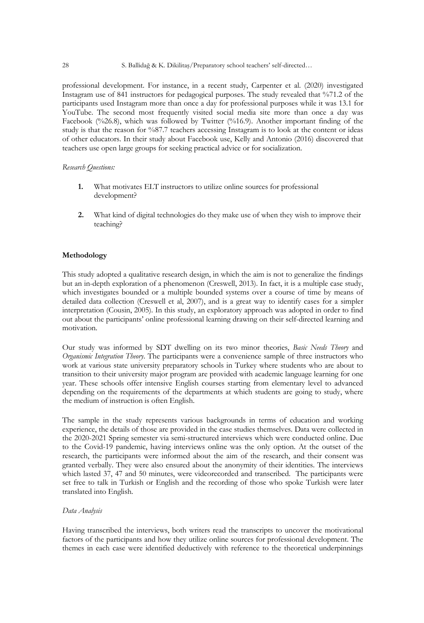professional development. For instance, in a recent study, Carpenter et al. (2020) investigated Instagram use of 841 instructors for pedagogical purposes. The study revealed that %71.2 of the participants used Instagram more than once a day for professional purposes while it was 13.1 for YouTube. The second most frequently visited social media site more than once a day was Facebook (%26.8), which was followed by Twitter (%16.9). Another important finding of the study is that the reason for %87.7 teachers accessing Instagram is to look at the content or ideas of other educators. In their study about Facebook use, Kelly and Antonio (2016) discovered that teachers use open large groups for seeking practical advice or for socialization.

#### *Research Questions:*

- **1.** What motivates ELT instructors to utilize online sources for professional development?
- **2.** What kind of digital technologies do they make use of when they wish to improve their teaching?

#### **Methodology**

This study adopted a qualitative research design, in which the aim is not to generalize the findings but an in-depth exploration of a phenomenon (Creswell, 2013). In fact, it is a multiple case study, which investigates bounded or a multiple bounded systems over a course of time by means of detailed data collection (Creswell et al, 2007), and is a great way to identify cases for a simpler interpretation (Cousin, 2005). In this study, an exploratory approach was adopted in order to find out about the participants' online professional learning drawing on their self-directed learning and motivation.

Our study was informed by SDT dwelling on its two minor theories, *Basic Needs Theory* and *Organismic Integration Theory*. The participants were a convenience sample of three instructors who work at various state university preparatory schools in Turkey where students who are about to transition to their university major program are provided with academic language learning for one year. These schools offer intensive English courses starting from elementary level to advanced depending on the requirements of the departments at which students are going to study, where the medium of instruction is often English.

The sample in the study represents various backgrounds in terms of education and working experience, the details of those are provided in the case studies themselves. Data were collected in the 2020-2021 Spring semester via semi-structured interviews which were conducted online. Due to the Covid-19 pandemic, having interviews online was the only option. At the outset of the research, the participants were informed about the aim of the research, and their consent was granted verbally. They were also ensured about the anonymity of their identities. The interviews which lasted 37, 47 and 50 minutes, were videorecorded and transcribed. The participants were set free to talk in Turkish or English and the recording of those who spoke Turkish were later translated into English.

#### *Data Analysis*

Having transcribed the interviews, both writers read the transcripts to uncover the motivational factors of the participants and how they utilize online sources for professional development. The themes in each case were identified deductively with reference to the theoretical underpinnings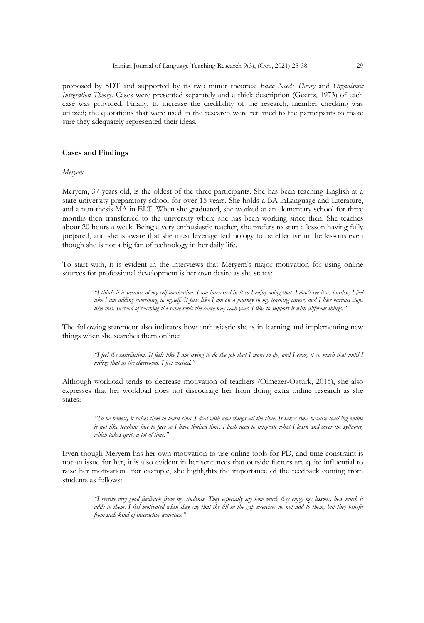proposed by SDT and supported by its two minor theories: *Basic Needs Theory* and *Organismic Integration Theory*. Cases were presented separately and a thick description (Geertz, 1973) of each case was provided. Finally, to increase the credibility of the research, member checking was utilized; the quotations that were used in the research were returned to the participants to make sure they adequately represented their ideas.

#### **Cases and Findings**

*Meryem*

Meryem, 37 years old, is the oldest of the three participants. She has been teaching English at a state university preparatory school for over 15 years. She holds a BA inLanguage and Literature, and a non-thesis MA in ELT. When she graduated, she worked at an elementary school for three months then transferred to the university where she has been working since then. She teaches about 20 hours a week. Being a very enthusiastic teacher, she prefers to start a lesson having fully prepared, and she is aware that she must leverage technology to be effective in the lessons even though she is not a big fan of technology in her daily life.

To start with, it is evident in the interviews that Meryem's major motivation for using online sources for professional development is her own desire as she states:

> *"I think it is because of my self-motivation. I am interested in it so I enjoy doing that. I don't see it as burden, I feel like I am adding something to myself. It feels like I am on a journey in my teaching career, and I like various stops like this. Instead of teaching the same topic the same way each year, I like to support it with different things."*

The following statement also indicates how enthusiastic she is in learning and implementing new things when she searches them online:

> *"I feel the satisfaction. It feels like I am trying to do the job that I want to do, and I enjoy it so much that until I utilize that in the classroom, I feel excited."*

Although workload tends to decrease motivation of teachers (Olmezer-Ozturk, 2015), she also expresses that her workload does not discourage her from doing extra online research as she states:

> *"To be honest, it takes time to learn since I deal with new things all the time. It takes time because teaching online is not like teaching face to face so I have limited time. I both need to integrate what I learn and cover the syllabus, which takes quite a lot of time."*

Even though Meryem has her own motivation to use online tools for PD, and time constraint is not an issue for her, it is also evident in her sentences that outside factors are quite influential to raise her motivation. For example, she highlights the importance of the feedback coming from students as follows:

> *"I receive very good feedback from my students. They especially say how much they enjoy my lessons, how much it*  adds to them. I feel motivated when they say that the fill in the gap exercises do not add to them, but they benefit *from such kind of interactive activities."*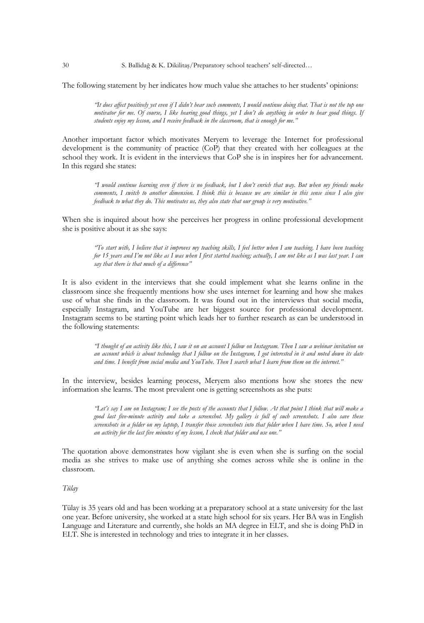30 S. Ballidağ & K. Dikilitaş/Preparatory school teachers' self-directed…

The following statement by her indicates how much value she attaches to her students' opinions:

*"It does affect positively yet even if I didn't hear such comments, I would continue doing that. That is not the top one motivator for me. Of course, I like hearing good things, yet I don't do anything in order to hear good things. If students enjoy my lesson, and I receive feedback in the classroom, that is enough for me."* 

Another important factor which motivates Meryem to leverage the Internet for professional development is the community of practice (CoP) that they created with her colleagues at the school they work. It is evident in the interviews that CoP she is in inspires her for advancement. In this regard she states:

*"I would continue learning even if there is no feedback, but I don't enrich that way. But when my friends make comments, I switch to another dimension. I think this is because we are similar in this sense since I also give feedback to what they do. This motivates us, they also state that our group is very motivative."*

When she is inquired about how she perceives her progress in online professional development she is positive about it as she says:

*"To start with, I believe that it improves my teaching skills, I feel better when I am teaching. I have been teaching for 15 years and I'm not like as I was when I first started teaching; actually, I am not like as I was last year. I can say that there is that much of a difference"* 

It is also evident in the interviews that she could implement what she learns online in the classroom since she frequently mentions how she uses internet for learning and how she makes use of what she finds in the classroom. It was found out in the interviews that social media, especially Instagram, and YouTube are her biggest source for professional development. Instagram seems to be starting point which leads her to further research as can be understood in the following statements:

> *"I thought of an activity like this, I saw it on an account I follow on Instagram. Then I saw a webinar invitation on an account which is about technology that I follow on the Instagram, I got interested in it and noted down its date and time. I benefit from social media and YouTube. Then I search what I learn from them on the internet."*

In the interview, besides learning process, Meryem also mentions how she stores the new information she learns. The most prevalent one is getting screenshots as she puts:

> *"Let's say I am on Instagram; I see the posts of the accounts that I follow. At that point I think that will make a good last five-minute activity and take a screenshot. My gallery is full of such screenshots. I also save these screenshots in a folder on my laptop, I transfer those screenshots into that folder when I have time. So, when I need an activity for the last five minutes of my lesson, I check that folder and use one."*

The quotation above demonstrates how vigilant she is even when she is surfing on the social media as she strives to make use of anything she comes across while she is online in the classroom.

#### *Tülay*

Tülay is 35 years old and has been working at a preparatory school at a state university for the last one year. Before university, she worked at a state high school for six years. Her BA was in English Language and Literature and currently, she holds an MA degree in ELT, and she is doing PhD in ELT. She is interested in technology and tries to integrate it in her classes.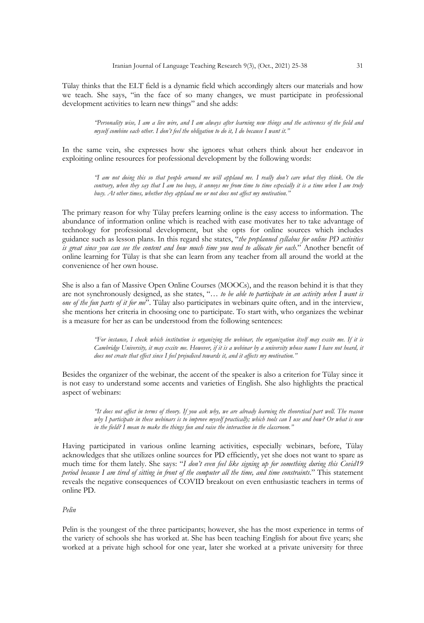Tülay thinks that the ELT field is a dynamic field which accordingly alters our materials and how we teach. She says, "in the face of so many changes, we must participate in professional development activities to learn new things" and she adds:

> *"Personality wise, I am a live wire, and I am always after learning new things and the activeness of the field and myself combine each other. I don't feel the obligation to do it, I do because I want it."*

In the same vein, she expresses how she ignores what others think about her endeavor in exploiting online resources for professional development by the following words:

> *"I am not doing this so that people around me will applaud me. I really don't care what they think. On the*  contrary, when they say that I am too busy, it annoys me from time to time especially it is a time when I am truly *busy. At other times, whether they applaud me or not does not affect my motivation."*

The primary reason for why Tülay prefers learning online is the easy access to information. The abundance of information online which is reached with ease motivates her to take advantage of technology for professional development, but she opts for online sources which includes guidance such as lesson plans. In this regard she states, "*the preplanned syllabus for online PD activities is great since you can see the content and how much time you need to allocate for each*." Another benefit of online learning for Tülay is that she can learn from any teacher from all around the world at the convenience of her own house.

She is also a fan of Massive Open Online Courses (MOOCs), and the reason behind it is that they are not synchronously designed, as she states, "*… to be able to participate in an activity when I want is one of the fun parts of it for me*". Tülay also participates in webinars quite often, and in the interview, she mentions her criteria in choosing one to participate. To start with, who organizes the webinar is a measure for her as can be understood from the following sentences:

> *"For instance, I check which institution is organizing the webinar, the organization itself may excite me. If it is Cambridge University, it may excite me. However, if it is a webinar by a university whose name I have not heard, it does not create that effect since I feel prejudiced towards it, and it affects my motivation."*

Besides the organizer of the webinar, the accent of the speaker is also a criterion for Tülay since it is not easy to understand some accents and varieties of English. She also highlights the practical aspect of webinars:

> *"It does not affect in terms of theory. If you ask why, we are already learning the theoretical part well. The reason why I participate in these webinars is to improve myself practically; which tools can I use and how? Or what is new in the field? I mean to make the things fun and raise the interaction in the classroom."*

Having participated in various online learning activities, especially webinars, before, Tülay acknowledges that she utilizes online sources for PD efficiently, yet she does not want to spare as much time for them lately. She says: "*I don't even feel like signing up for something during this Covid19 period because I am tired of sitting in front of the computer all the time, and time constraints*." This statement reveals the negative consequences of COVID breakout on even enthusiastic teachers in terms of online PD.

### *Pelin*

Pelin is the youngest of the three participants; however, she has the most experience in terms of the variety of schools she has worked at. She has been teaching English for about five years; she worked at a private high school for one year, later she worked at a private university for three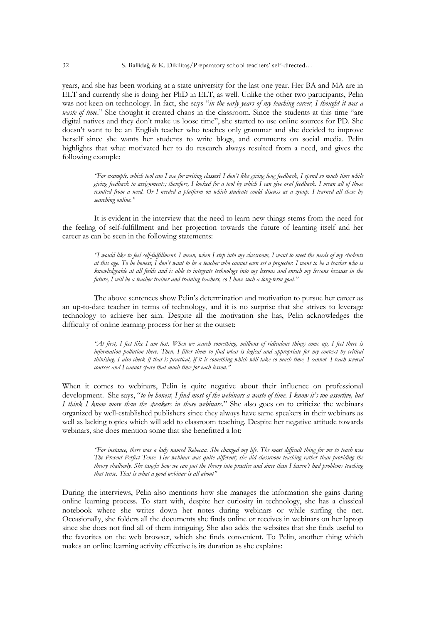years, and she has been working at a state university for the last one year. Her BA and MA are in ELT and currently she is doing her PhD in ELT, as well. Unlike the other two participants, Pelin was not keen on technology. In fact, she says "*in the early years of my teaching career, I thought it was a waste of time.*" She thought it created chaos in the classroom. Since the students at this time "are digital natives and they don't make us loose time", she started to use online sources for PD. She doesn't want to be an English teacher who teaches only grammar and she decided to improve herself since she wants her students to write blogs, and comments on social media. Pelin highlights that what motivated her to do research always resulted from a need, and gives the following example:

> *"For example, which tool can I use for writing classes? I don't like giving long feedback, I spend so much time while giving feedback to assignments; therefore, I looked for a tool by which I can give oral feedback. I mean all of those resulted from a need. Or I needed a platform on which students could discuss as a group. I learned all these by searching online."*

It is evident in the interview that the need to learn new things stems from the need for the feeling of self-fulfillment and her projection towards the future of learning itself and her career as can be seen in the following statements:

> *"I would like to feel self-fulfillment. I mean, when I step into my classroom, I want to meet the needs of my students at this age. To be honest, I don't want to be a teacher who cannot even set a projector. I want to be a teacher who is knowledgeable at all fields and is able to integrate technology into my lessons and enrich my lessons because in the future, I will be a teacher trainer and training teachers, so I have such a long-term goal."*

The above sentences show Pelin's determination and motivation to pursue her career as an up-to-date teacher in terms of technology, and it is no surprise that she strives to leverage technology to achieve her aim. Despite all the motivation she has, Pelin acknowledges the difficulty of online learning process for her at the outset:

> *"At first, I feel like I am lost. When we search something, millions of ridiculous things come up, I feel there is information pollution there. Then, I filter them to find what is logical and appropriate for my context by critical thinking. I also check if that is practical, if it is something which will take so much time, I cannot. I teach several courses and I cannot spare that much time for each lesson."*

When it comes to webinars, Pelin is quite negative about their influence on professional development. She says, "*to be honest, I find most of the webinars a waste of time. I know it's too assertive, but I think I know more than the speakers in those webinars*." She also goes on to criticize the webinars organized by well-established publishers since they always have same speakers in their webinars as well as lacking topics which will add to classroom teaching. Despite her negative attitude towards webinars, she does mention some that she benefitted a lot:

> *"For instance, there was a lady named Rebecaa. She changed my life. The most difficult thing for me to teach was The Present Perfect Tense. Her webinar was quite different; she did classroom teaching rather than providing the theory shallowly. She taught how we can put the theory into practice and since than I haven't had problems teaching that tense. That is what a good webinar is all about"*

During the interviews, Pelin also mentions how she manages the information she gains during online learning process. To start with, despite her curiosity in technology, she has a classical notebook where she writes down her notes during webinars or while surfing the net. Occasionally, she folders all the documents she finds online or receives in webinars on her laptop since she does not find all of them intriguing. She also adds the websites that she finds useful to the favorites on the web browser, which she finds convenient. To Pelin, another thing which makes an online learning activity effective is its duration as she explains: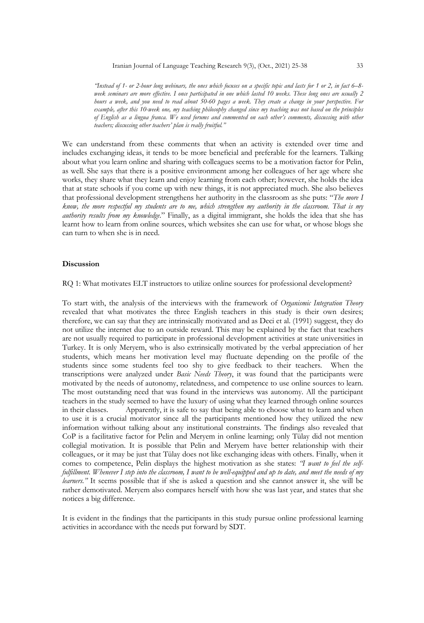*"Instead of 1- or 2-hour long webinars, the ones which focuses on a specific topic and lasts for 1 or 2, in fact 6–8 week seminars are more effective. I once participated in one which lasted 10 weeks. These long ones are usually 2 hours a week, and you need to read about 50-60 pages a week. They create a change in your perspective. For example, after this 10-week one, my teaching philosophy changed since my teaching was not based on the principles of English as a lingua franca. We used forums and commented on each other's comments, discussing with other teachers; discussing other teachers' plan is really fruitful."* 

We can understand from these comments that when an activity is extended over time and includes exchanging ideas, it tends to be more beneficial and preferable for the learners. Talking about what you learn online and sharing with colleagues seems to be a motivation factor for Pelin, as well. She says that there is a positive environment among her colleagues of her age where she works, they share what they learn and enjoy learning from each other; however, she holds the idea that at state schools if you come up with new things, it is not appreciated much. She also believes that professional development strengthens her authority in the classroom as she puts: "*The more I know, the more respectful my students are to me, which strengthen my authority in the classroom. That is my authority results from my knowledge*." Finally, as a digital immigrant, she holds the idea that she has learnt how to learn from online sources, which websites she can use for what, or whose blogs she can turn to when she is in need.

#### **Discussion**

RQ 1: What motivates ELT instructors to utilize online sources for professional development?

To start with, the analysis of the interviews with the framework of *Organismic Integration Theory*  revealed that what motivates the three English teachers in this study is their own desires; therefore, we can say that they are intrinsically motivated and as Deci et al. (1991) suggest, they do not utilize the internet due to an outside reward. This may be explained by the fact that teachers are not usually required to participate in professional development activities at state universities in Turkey. It is only Meryem, who is also extrinsically motivated by the verbal appreciation of her students, which means her motivation level may fluctuate depending on the profile of the students since some students feel too shy to give feedback to their teachers. When the transcriptions were analyzed under *Basic Needs Theory*, it was found that the participants were motivated by the needs of autonomy, relatedness, and competence to use online sources to learn. The most outstanding need that was found in the interviews was autonomy. All the participant teachers in the study seemed to have the luxury of using what they learned through online sources in their classes. Apparently, it is safe to say that being able to choose what to learn and when to use it is a crucial motivator since all the participants mentioned how they utilized the new information without talking about any institutional constraints. The findings also revealed that CoP is a facilitative factor for Pelin and Meryem in online learning; only Tülay did not mention collegial motivation. It is possible that Pelin and Meryem have better relationship with their colleagues, or it may be just that Tülay does not like exchanging ideas with others. Finally, when it comes to competence, Pelin displays the highest motivation as she states: *"I want to feel the selffulfillment. Whenever I step into the classroom, I want to be well-equipped and up to date, and meet the needs of my learners."* It seems possible that if she is asked a question and she cannot answer it, she will be rather demotivated. Meryem also compares herself with how she was last year, and states that she notices a big difference.

It is evident in the findings that the participants in this study pursue online professional learning activities in accordance with the needs put forward by SDT.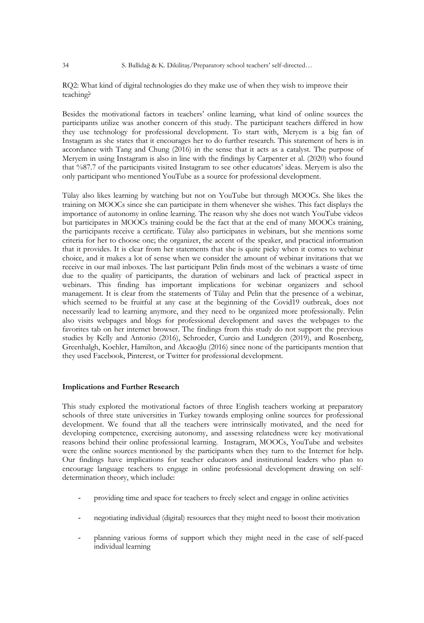RQ2: What kind of digital technologies do they make use of when they wish to improve their teaching?

Besides the motivational factors in teachers' online learning, what kind of online sources the participants utilize was another concern of this study. The participant teachers differed in how they use technology for professional development. To start with, Meryem is a big fan of Instagram as she states that it encourages her to do further research. This statement of hers is in accordance with Tang and Chung (2016) in the sense that it acts as a catalyst. The purpose of Meryem in using Instagram is also in line with the findings by Carpenter et al. (2020) who found that %87.7 of the participants visited Instagram to see other educators' ideas. Meryem is also the only participant who mentioned YouTube as a source for professional development.

Tülay also likes learning by watching but not on YouTube but through MOOCs. She likes the training on MOOCs since she can participate in them whenever she wishes. This fact displays the importance of autonomy in online learning. The reason why she does not watch YouTube videos but participates in MOOCs training could be the fact that at the end of many MOOCs training, the participants receive a certificate. Tülay also participates in webinars, but she mentions some criteria for her to choose one; the organizer, the accent of the speaker, and practical information that it provides. It is clear from her statements that she is quite picky when it comes to webinar choice, and it makes a lot of sense when we consider the amount of webinar invitations that we receive in our mail inboxes. The last participant Pelin finds most of the webinars a waste of time due to the quality of participants, the duration of webinars and lack of practical aspect in webinars. This finding has important implications for webinar organizers and school management. It is clear from the statements of Tülay and Pelin that the presence of a webinar, which seemed to be fruitful at any case at the beginning of the Covid19 outbreak, does not necessarily lead to learning anymore, and they need to be organized more professionally. Pelin also visits webpages and blogs for professional development and saves the webpages to the favorites tab on her internet browser. The findings from this study do not support the previous studies by Kelly and Antonio (2016), Schroeder, Curcio and Lundgren (2019), and Rosenberg, Greenhalgh, Koehler, Hamilton, and Akcaoğlu (2016) since none of the participants mention that they used Facebook, Pinterest, or Twitter for professional development.

#### **Implications and Further Research**

This study explored the motivational factors of three English teachers working at preparatory schools of three state universities in Turkey towards employing online sources for professional development. We found that all the teachers were intrinsically motivated, and the need for developing competence, exercising autonomy, and assessing relatedness were key motivational reasons behind their online professional learning. Instagram, MOOCs, YouTube and websites were the online sources mentioned by the participants when they turn to the Internet for help. Our findings have implications for teacher educators and institutional leaders who plan to encourage language teachers to engage in online professional development drawing on selfdetermination theory, which include:

- providing time and space for teachers to freely select and engage in online activities
- negotiating individual (digital) resources that they might need to boost their motivation
- planning various forms of support which they might need in the case of self-paced individual learning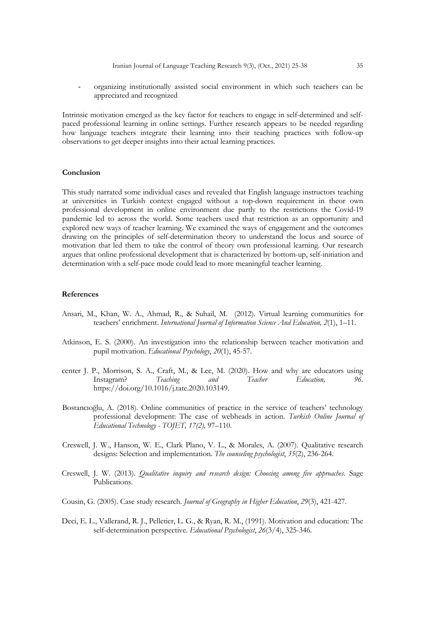- organizing institutionally assisted social environment in which such teachers can be appreciated and recognized

Intrinsic motivation emerged as the key factor for teachers to engage in self-determined and selfpaced professional learning in online settings. Further research appears to be needed regarding how language teachers integrate their learning into their teaching practices with follow-up observations to get deeper insights into their actual learning practices.

#### **Conclusion**

This study narrated some individual cases and revealed that English language instructors teaching at universities in Turkish context engaged without a top-down requirement in theor own professional development in online environment due partly to the restrictions the Covid-19 pandemic led to across the world. Some teachers used that restriction as an opportunity and explored new ways of teacher learning. We examined the ways of engagement and the outcomes drawing on the principles of self-determination theory to understand the locus and source of motivation that led them to take the control of theory own professional learning. Our research argues that online professional development that is characterized by bottom-up, self-initiation and determination with a self-pace mode could lead to more meaningful teacher learning.

#### **References**

- Ansari, M., Khan, W. A., Ahmad, R., & Suhail, M. (2012). Virtual learning communities for teachers' enrichment. *International Journal of Information Science And Education, 2*(1), 1–11.
- Atkinson, E. S. (2000). An investigation into the relationship between teacher motivation and pupil motivation. *Educational Psychology*, *20*(1), 45-57.
- center J. P., Morrison, S. A., Craft, M., & Lee, M. (2020). How and why are educators using Instagram? *Teaching and Teacher Education, 96*. https://doi.org/10.1016/j.tate.2020.103149.
- Bostancıoğlu, A. (2018). Online communities of practice in the service of teachers' technology professional development: The case of webheads in action. *Turkish Online Journal of Educational Technology - TOJET, 17(2),* 97–110.
- Creswell, J. W., Hanson, W. E., Clark Plano, V. L., & Morales, A. (2007). Qualitative research designs: Selection and implementation. *The counseling psychologist*, *35*(2), 236-264.
- Creswell, J. W. (2013). *Qualitative inquiry and research design: Choosing among five approaches*. Sage Publications.
- Cousin, G. (2005). Case study research. *Journal of Geography in Higher Education*, *29*(3), 421-427.
- Deci, E. L., Vallerand, R. J., Pelletier, L. G., & Ryan, R. M., (1991). Motivation and education: The self-determination perspective. *Educational Psychologist*, *26*(3/4), 325-346.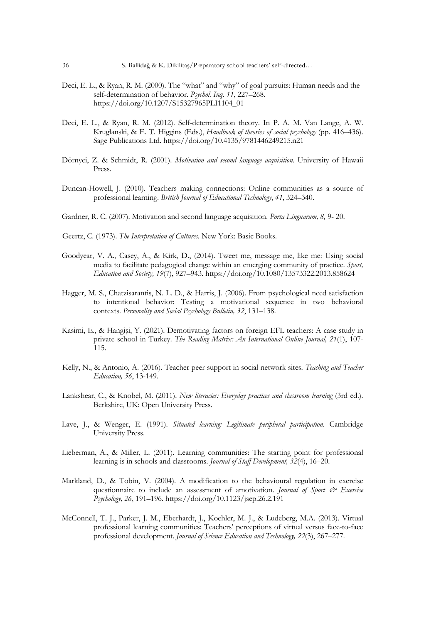- Deci, E. L., & Ryan, R. M. (2000). The "what" and "why" of goal pursuits: Human needs and the self-determination of behavior. *Psychol. Inq*. *11*, 227–268. https://doi.org/10.1207/S15327965PLI1104\_01
- Deci, E. L., & Ryan, R. M. (2012). Self-determination theory. In P. A. M. Van Lange, A. W. Kruglanski, & E. T. Higgins (Eds.), *Handbook of theories of social psychology* (pp. 416–436). Sage Publications Ltd. https://doi.org/10.4135/9781446249215.n21
- Dörnyei, Z. & Schmidt, R. (2001). *Motivation and second language acquisition*. University of Hawaii Press.
- Duncan-Howell, J. (2010). Teachers making connections: Online communities as a source of professional learning. *British Journal of Educational Technology*, *41*, 324–340.
- Gardner, R. C. (2007). Motivation and second language acquisition. *Porta Linguarum, 8,* 9- 20.

Geertz, C. (1973). *The Interpretation of Cultures*. New York: Basic Books.

- Goodyear, V. A., Casey, A., & Kirk, D., (2014). Tweet me, message me, like me: Using social media to facilitate pedagogical change within an emerging community of practice. *Sport, Education and Society, 19*(7), 927–943. https://doi.org/10.1080/13573322.2013.858624
- Hagger, M. S., Chatzisarantis, N. L. D., & Harris, J. (2006). From psychological need satisfaction to intentional behavior: Testing a motivational sequence in two behavioral contexts. *Personality and Social Psychology Bulletin, 32*, 131–138.
- Kasimi, E., & Hangişi, Y. (2021). Demotivating factors on foreign EFL teachers: A case study in private school in Turkey. *The Reading Matrix: An International Online Journal, 21*(1), 107- 115.
- Kelly, N., & Antonio, A. (2016). Teacher peer support in social network sites. *Teaching and Teacher Education, 56*, 13-149.
- Lankshear, C., & Knobel, M. (2011). *New literacies: Everyday practices and classroom learning* (3rd ed.). Berkshire, UK: Open University Press.
- Lave, J., & Wenger, E. (1991). *Situated learning: Legitimate peripheral participation.* Cambridge University Press.
- Lieberman, A., & Miller, L. (2011). Learning communities: The starting point for professional learning is in schools and classrooms. *Journal of Staff Development, 32*(4), 16–20.
- Markland, D., & Tobin, V. (2004). A modification to the behavioural regulation in exercise questionnaire to include an assessment of amotivation. *Journal of Sport & Exercise Psychology, 26*, 191–196. https://doi.org/10.1123/jsep.26.2.191
- McConnell, T. J., Parker, J. M., Eberhardt, J., Koehler, M. J., & Ludeberg, M.A. (2013). Virtual professional learning communities: Teachers' perceptions of virtual versus face-to-face professional development. *Journal of Science Education and Technology, 22*(3), 267–277.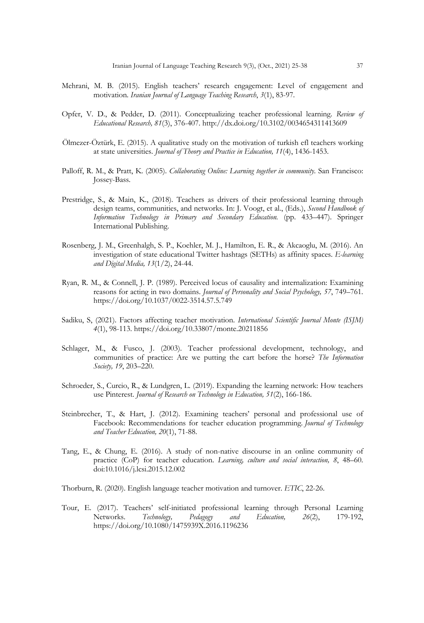- Mehrani, M. B. (2015). English teachers' research engagement: Level of engagement and motivation. *Iranian Journal of Language Teaching Research*, *3*(1), 83-97.
- Opfer, V. D., & Pedder, D. (2011). Conceptualizing teacher professional learning. *Review of Educational Research, 81*(3), 376-407. http://dx.doi.org/10.3102/0034654311413609
- Ölmezer-Öztürk, E. (2015). A qualitative study on the motivation of turkish efl teachers working at state universities. *Journal of Theory and Practice in Education, 11*(4), 1436-1453.
- Palloff, R. M., & Pratt, K. (2005). *Collaborating Online: Learning together in community*. San Francisco: Jossey-Bass.
- Prestridge, S., & Main, K., (2018). Teachers as drivers of their professional learning through design teams, communities, and networks. In: J. Voogt, et al., (Eds.), *Second Handbook of Information Technology in Primary and Secondary Education.* (pp. 433–447). Springer International Publishing.
- Rosenberg, J. M., Greenhalgh, S. P., Koehler, M. J., Hamilton, E. R., & Akcaoglu, M. (2016). An investigation of state educational Twitter hashtags (SETHs) as affinity spaces. *E-learning and Digital Media, 13*(1/2), 24-44.
- Ryan, R. M., & Connell, J. P. (1989). Perceived locus of causality and internalization: Examining reasons for acting in two domains. *Journal of Personality and Social Psychology, 57*, 749–761. https://doi.org/10.1037/0022-3514.57.5.749
- Sadiku, S, (2021). Factors affecting teacher motivation. *International Scientific Journal Monte (ISJM) 4*(1), 98-113. https://doi.org/10.33807/monte.20211856
- Schlager, M., & Fusco, J. (2003). Teacher professional development, technology, and communities of practice: Are we putting the cart before the horse? *The Information Society, 19*, 203–220.
- Schroeder, S., Curcio, R., & Lundgren, L. (2019). Expanding the learning network: How teachers use Pinterest. *Journal of Research on Technology in Education, 51*(2), 166-186.
- Steinbrecher, T., & Hart, J. (2012). Examining teachers' personal and professional use of Facebook: Recommendations for teacher education programming. *Journal of Technology and Teacher Education, 20*(1), 71-88.
- Tang, E., & Chung, E. (2016). A study of non-native discourse in an online community of practice (CoP) for teacher education. *Learning, culture and social interaction, 8*, 48–60. doi:10.1016/j.lcsi.2015.12.002
- Thorburn, R. (2020). English language teacher motivation and turnover. *ETIC*, 22-26.
- Tour, E. (2017). Teachers' self-initiated professional learning through Personal Learning Networks. *Technology, Pedagogy and Education, 26*(2), 179-192, https://doi.org/10.1080/1475939X.2016.1196236